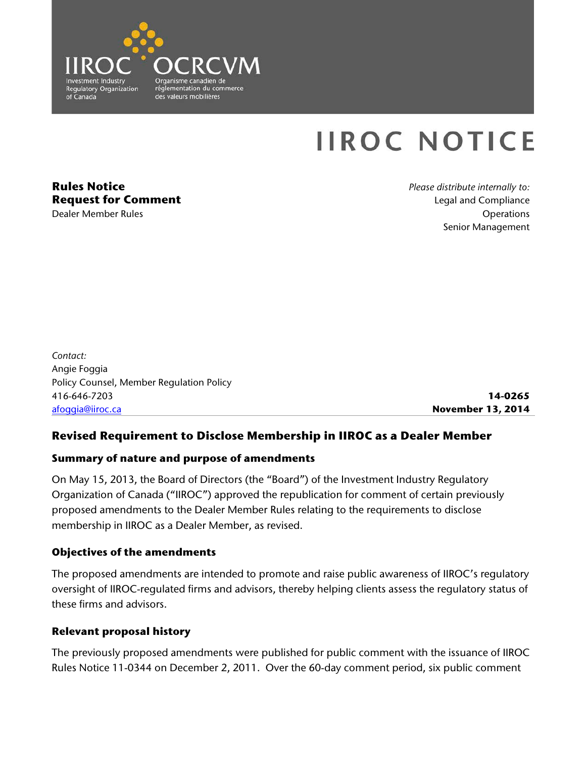

# **IIROC NOTICE**

**Rules Notice Request for Comment** Dealer Member Rules

*Please distribute internally to:* Legal and Compliance **Operations** Senior Management

*Contact:* Angie Foggia Policy Counsel, Member Regulation Policy 416-646-7203 [afoggia@iiroc.ca](mailto:afoggia@iiroc.ca)

**14-0265 November 13, 2014**

## **Revised Requirement to Disclose Membership in IIROC as a Dealer Member**

#### **Summary of nature and purpose of amendments**

On May 15, 2013, the Board of Directors (the "Board") of the Investment Industry Regulatory Organization of Canada ("IIROC") approved the republication for comment of certain previously proposed amendments to the Dealer Member Rules relating to the requirements to disclose membership in IIROC as a Dealer Member, as revised.

## **Objectives of the amendments**

The proposed amendments are intended to promote and raise public awareness of IIROC's regulatory oversight of IIROC-regulated firms and advisors, thereby helping clients assess the regulatory status of these firms and advisors.

#### **Relevant proposal history**

The previously proposed amendments were published for public comment with the issuance of IIROC Rules Notice 11-0344 on December 2, 2011. Over the 60-day comment period, six public comment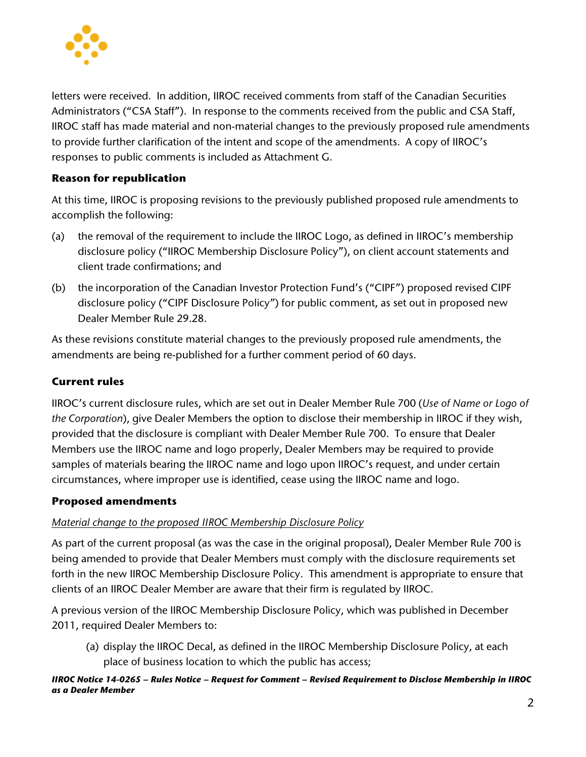

letters were received. In addition, IIROC received comments from staff of the Canadian Securities Administrators ("CSA Staff"). In response to the comments received from the public and CSA Staff, IIROC staff has made material and non-material changes to the previously proposed rule amendments to provide further clarification of the intent and scope of the amendments. A copy of IIROC's responses to public comments is included as Attachment G.

## **Reason for republication**

At this time, IIROC is proposing revisions to the previously published proposed rule amendments to accomplish the following:

- (a) the removal of the requirement to include the IIROC Logo, as defined in IIROC's membership disclosure policy ("IIROC Membership Disclosure Policy"), on client account statements and client trade confirmations; and
- (b) the incorporation of the Canadian Investor Protection Fund's ("CIPF") proposed revised CIPF disclosure policy ("CIPF Disclosure Policy") for public comment, as set out in proposed new Dealer Member Rule 29.28.

As these revisions constitute material changes to the previously proposed rule amendments, the amendments are being re-published for a further comment period of 60 days.

## **Current rules**

IIROC's current disclosure rules, which are set out in Dealer Member Rule 700 (*Use of Name or Logo of the Corporation*), give Dealer Members the option to disclose their membership in IIROC if they wish, provided that the disclosure is compliant with Dealer Member Rule 700. To ensure that Dealer Members use the IIROC name and logo properly, Dealer Members may be required to provide samples of materials bearing the IIROC name and logo upon IIROC's request, and under certain circumstances, where improper use is identified, cease using the IIROC name and logo.

## **Proposed amendments**

## *Material change to the proposed IIROC Membership Disclosure Policy*

As part of the current proposal (as was the case in the original proposal), Dealer Member Rule 700 is being amended to provide that Dealer Members must comply with the disclosure requirements set forth in the new IIROC Membership Disclosure Policy. This amendment is appropriate to ensure that clients of an IIROC Dealer Member are aware that their firm is regulated by IIROC.

A previous version of the IIROC Membership Disclosure Policy, which was published in December 2011, required Dealer Members to:

(a) display the IIROC Decal, as defined in the IIROC Membership Disclosure Policy, at each place of business location to which the public has access;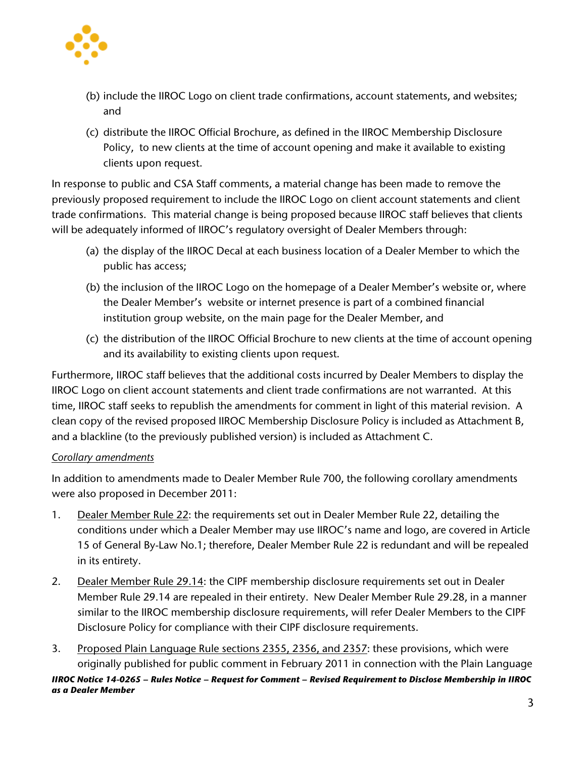

- (b) include the IIROC Logo on client trade confirmations, account statements, and websites; and
- (c) distribute the IIROC Official Brochure, as defined in the IIROC Membership Disclosure Policy, to new clients at the time of account opening and make it available to existing clients upon request.

In response to public and CSA Staff comments, a material change has been made to remove the previously proposed requirement to include the IIROC Logo on client account statements and client trade confirmations. This material change is being proposed because IIROC staff believes that clients will be adequately informed of IIROC's regulatory oversight of Dealer Members through:

- (a) the display of the IIROC Decal at each business location of a Dealer Member to which the public has access;
- (b) the inclusion of the IIROC Logo on the homepage of a Dealer Member's website or, where the Dealer Member's website or internet presence is part of a combined financial institution group website, on the main page for the Dealer Member, and
- (c) the distribution of the IIROC Official Brochure to new clients at the time of account opening and its availability to existing clients upon request.

Furthermore, IIROC staff believes that the additional costs incurred by Dealer Members to display the IIROC Logo on client account statements and client trade confirmations are not warranted. At this time, IIROC staff seeks to republish the amendments for comment in light of this material revision. A clean copy of the revised proposed IIROC Membership Disclosure Policy is included as Attachment B, and a blackline (to the previously published version) is included as Attachment C.

## *Corollary amendments*

In addition to amendments made to Dealer Member Rule 700, the following corollary amendments were also proposed in December 2011:

- 1. Dealer Member Rule 22: the requirements set out in Dealer Member Rule 22, detailing the conditions under which a Dealer Member may use IIROC's name and logo, are covered in Article 15 of General By-Law No.1; therefore, Dealer Member Rule 22 is redundant and will be repealed in its entirety.
- 2. Dealer Member Rule 29.14: the CIPF membership disclosure requirements set out in Dealer Member Rule 29.14 are repealed in their entirety. New Dealer Member Rule 29.28, in a manner similar to the IIROC membership disclosure requirements, will refer Dealer Members to the CIPF Disclosure Policy for compliance with their CIPF disclosure requirements.
- 3. Proposed Plain Language Rule sections 2355, 2356, and 2357: these provisions, which were originally published for public comment in February 2011 in connection with the Plain Language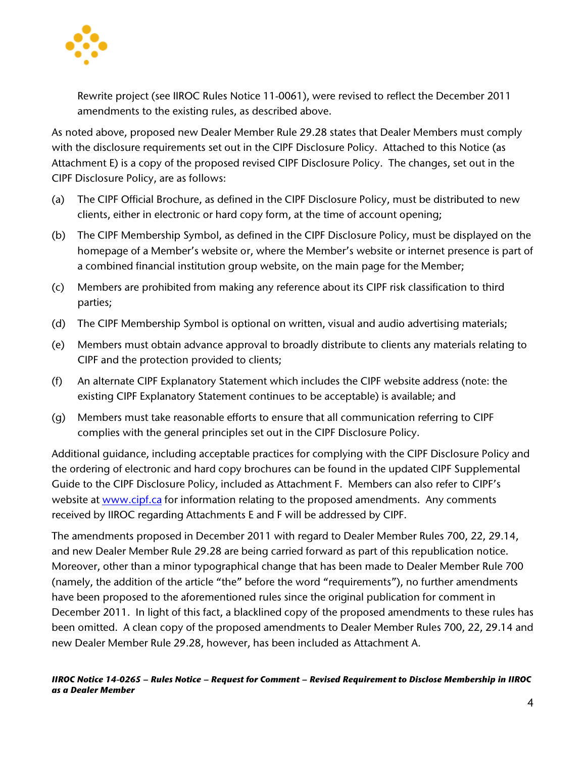

Rewrite project (see IIROC Rules Notice 11-0061), were revised to reflect the December 2011 amendments to the existing rules, as described above.

As noted above, proposed new Dealer Member Rule 29.28 states that Dealer Members must comply with the disclosure requirements set out in the CIPF Disclosure Policy. Attached to this Notice (as Attachment E) is a copy of the proposed revised CIPF Disclosure Policy. The changes, set out in the CIPF Disclosure Policy, are as follows:

- (a) The CIPF Official Brochure, as defined in the CIPF Disclosure Policy, must be distributed to new clients, either in electronic or hard copy form, at the time of account opening;
- (b) The CIPF Membership Symbol, as defined in the CIPF Disclosure Policy, must be displayed on the homepage of a Member's website or, where the Member's website or internet presence is part of a combined financial institution group website, on the main page for the Member;
- (c) Members are prohibited from making any reference about its CIPF risk classification to third parties;
- (d) The CIPF Membership Symbol is optional on written, visual and audio advertising materials;
- (e) Members must obtain advance approval to broadly distribute to clients any materials relating to CIPF and the protection provided to clients;
- (f) An alternate CIPF Explanatory Statement which includes the CIPF website address (note: the existing CIPF Explanatory Statement continues to be acceptable) is available; and
- (g) Members must take reasonable efforts to ensure that all communication referring to CIPF complies with the general principles set out in the CIPF Disclosure Policy.

Additional guidance, including acceptable practices for complying with the CIPF Disclosure Policy and the ordering of electronic and hard copy brochures can be found in the updated CIPF Supplemental Guide to the CIPF Disclosure Policy, included as Attachment F. Members can also refer to CIPF's website at [www.cipf.ca](http://www.cipf.ca/) for information relating to the proposed amendments. Any comments received by IIROC regarding Attachments E and F will be addressed by CIPF.

The amendments proposed in December 2011 with regard to Dealer Member Rules 700, 22, 29.14, and new Dealer Member Rule 29.28 are being carried forward as part of this republication notice. Moreover, other than a minor typographical change that has been made to Dealer Member Rule 700 (namely, the addition of the article "the" before the word "requirements"), no further amendments have been proposed to the aforementioned rules since the original publication for comment in December 2011. In light of this fact, a blacklined copy of the proposed amendments to these rules has been omitted. A clean copy of the proposed amendments to Dealer Member Rules 700, 22, 29.14 and new Dealer Member Rule 29.28, however, has been included as Attachment A.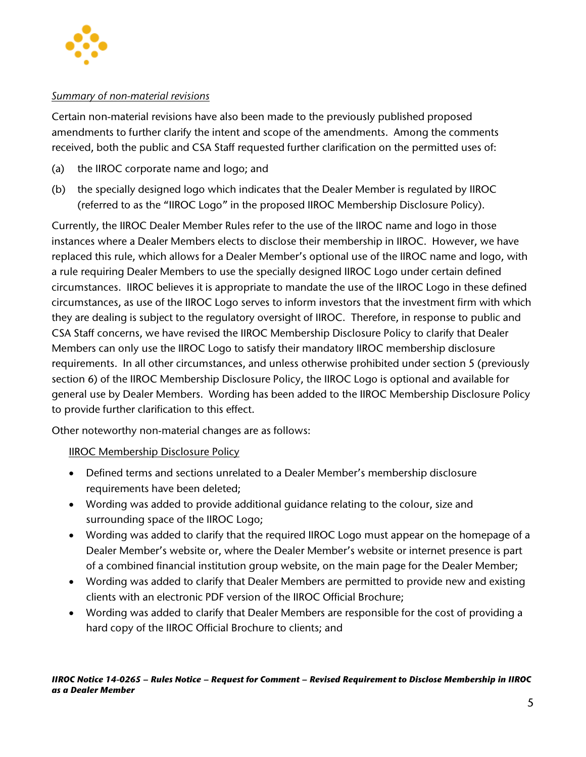

#### *Summary of non-material revisions*

Certain non-material revisions have also been made to the previously published proposed amendments to further clarify the intent and scope of the amendments. Among the comments received, both the public and CSA Staff requested further clarification on the permitted uses of:

- (a) the IIROC corporate name and logo; and
- (b) the specially designed logo which indicates that the Dealer Member is regulated by IIROC (referred to as the "IIROC Logo" in the proposed IIROC Membership Disclosure Policy).

Currently, the IIROC Dealer Member Rules refer to the use of the IIROC name and logo in those instances where a Dealer Members elects to disclose their membership in IIROC. However, we have replaced this rule, which allows for a Dealer Member's optional use of the IIROC name and logo, with a rule requiring Dealer Members to use the specially designed IIROC Logo under certain defined circumstances. IIROC believes it is appropriate to mandate the use of the IIROC Logo in these defined circumstances, as use of the IIROC Logo serves to inform investors that the investment firm with which they are dealing is subject to the regulatory oversight of IIROC. Therefore, in response to public and CSA Staff concerns, we have revised the IIROC Membership Disclosure Policy to clarify that Dealer Members can only use the IIROC Logo to satisfy their mandatory IIROC membership disclosure requirements. In all other circumstances, and unless otherwise prohibited under section 5 (previously section 6) of the IIROC Membership Disclosure Policy, the IIROC Logo is optional and available for general use by Dealer Members. Wording has been added to the IIROC Membership Disclosure Policy to provide further clarification to this effect.

Other noteworthy non-material changes are as follows:

**IIROC Membership Disclosure Policy** 

- Defined terms and sections unrelated to a Dealer Member's membership disclosure requirements have been deleted;
- Wording was added to provide additional guidance relating to the colour, size and surrounding space of the IIROC Logo;
- Wording was added to clarify that the required IIROC Logo must appear on the homepage of a Dealer Member's website or, where the Dealer Member's website or internet presence is part of a combined financial institution group website, on the main page for the Dealer Member;
- Wording was added to clarify that Dealer Members are permitted to provide new and existing clients with an electronic PDF version of the IIROC Official Brochure;
- Wording was added to clarify that Dealer Members are responsible for the cost of providing a hard copy of the IIROC Official Brochure to clients; and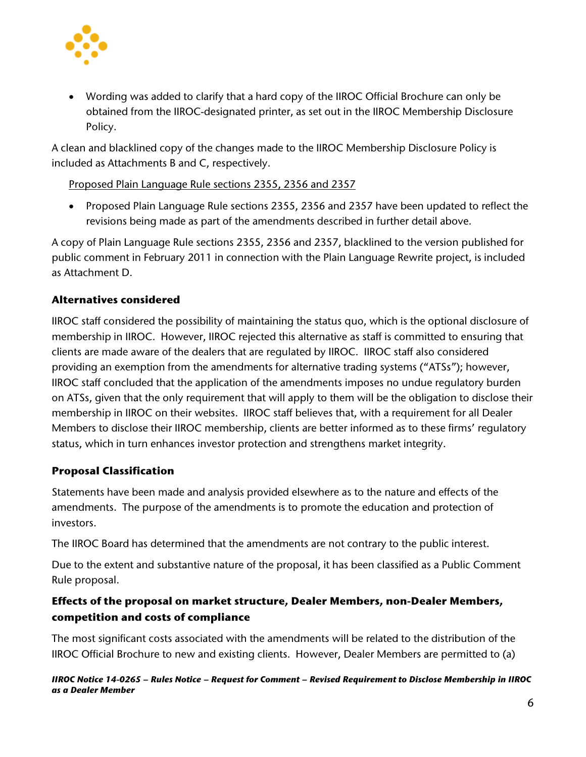

• Wording was added to clarify that a hard copy of the IIROC Official Brochure can only be obtained from the IIROC-designated printer, as set out in the IIROC Membership Disclosure Policy.

A clean and blacklined copy of the changes made to the IIROC Membership Disclosure Policy is included as Attachments B and C, respectively.

Proposed Plain Language Rule sections 2355, 2356 and 2357

• Proposed Plain Language Rule sections 2355, 2356 and 2357 have been updated to reflect the revisions being made as part of the amendments described in further detail above.

A copy of Plain Language Rule sections 2355, 2356 and 2357, blacklined to the version published for public comment in February 2011 in connection with the Plain Language Rewrite project, is included as Attachment D.

# **Alternatives considered**

IIROC staff considered the possibility of maintaining the status quo, which is the optional disclosure of membership in IIROC. However, IIROC rejected this alternative as staff is committed to ensuring that clients are made aware of the dealers that are regulated by IIROC. IIROC staff also considered providing an exemption from the amendments for alternative trading systems ("ATSs"); however, IIROC staff concluded that the application of the amendments imposes no undue regulatory burden on ATSs, given that the only requirement that will apply to them will be the obligation to disclose their membership in IIROC on their websites. IIROC staff believes that, with a requirement for all Dealer Members to disclose their IIROC membership, clients are better informed as to these firms' regulatory status, which in turn enhances investor protection and strengthens market integrity.

# **Proposal Classification**

Statements have been made and analysis provided elsewhere as to the nature and effects of the amendments. The purpose of the amendments is to promote the education and protection of investors.

The IIROC Board has determined that the amendments are not contrary to the public interest.

Due to the extent and substantive nature of the proposal, it has been classified as a Public Comment Rule proposal.

# **Effects of the proposal on market structure, Dealer Members, non-Dealer Members, competition and costs of compliance**

The most significant costs associated with the amendments will be related to the distribution of the IIROC Official Brochure to new and existing clients. However, Dealer Members are permitted to (a)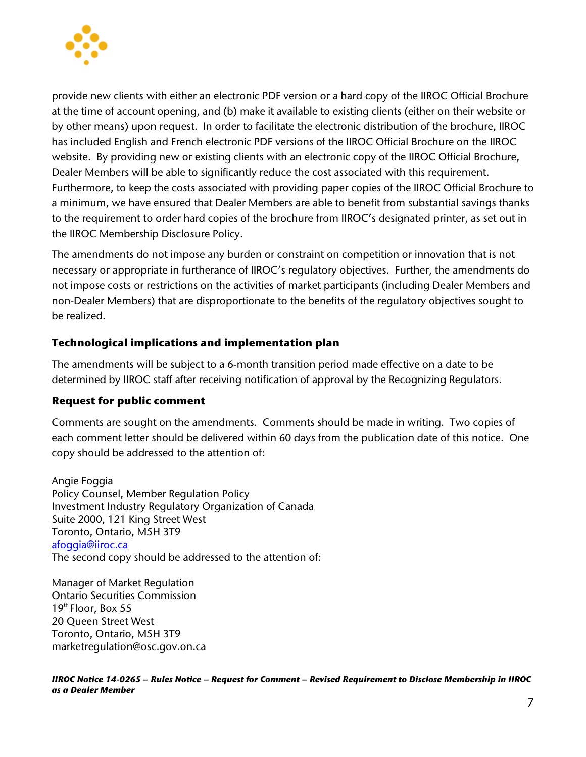

provide new clients with either an electronic PDF version or a hard copy of the IIROC Official Brochure at the time of account opening, and (b) make it available to existing clients (either on their website or by other means) upon request. In order to facilitate the electronic distribution of the brochure, IIROC has included English and French electronic PDF versions of the IIROC Official Brochure on the IIROC website. By providing new or existing clients with an electronic copy of the IIROC Official Brochure, Dealer Members will be able to significantly reduce the cost associated with this requirement. Furthermore, to keep the costs associated with providing paper copies of the IIROC Official Brochure to a minimum, we have ensured that Dealer Members are able to benefit from substantial savings thanks to the requirement to order hard copies of the brochure from IIROC's designated printer, as set out in the IIROC Membership Disclosure Policy.

The amendments do not impose any burden or constraint on competition or innovation that is not necessary or appropriate in furtherance of IIROC's regulatory objectives. Further, the amendments do not impose costs or restrictions on the activities of market participants (including Dealer Members and non-Dealer Members) that are disproportionate to the benefits of the regulatory objectives sought to be realized.

## **Technological implications and implementation plan**

The amendments will be subject to a 6-month transition period made effective on a date to be determined by IIROC staff after receiving notification of approval by the Recognizing Regulators.

## **Request for public comment**

Comments are sought on the amendments. Comments should be made in writing. Two copies of each comment letter should be delivered within 60 days from the publication date of this notice. One copy should be addressed to the attention of:

Angie Foggia Policy Counsel, Member Regulation Policy Investment Industry Regulatory Organization of Canada Suite 2000, 121 King Street West Toronto, Ontario, M5H 3T9 [afoggia@iiroc.ca](mailto:afoggia@iiroc.ca) The second copy should be addressed to the attention of:

Manager of Market Regulation Ontario Securities Commission  $19<sup>th</sup>$  Floor, Box 55 20 Queen Street West Toronto, Ontario, M5H 3T9 marketregulation@osc.gov.on.ca